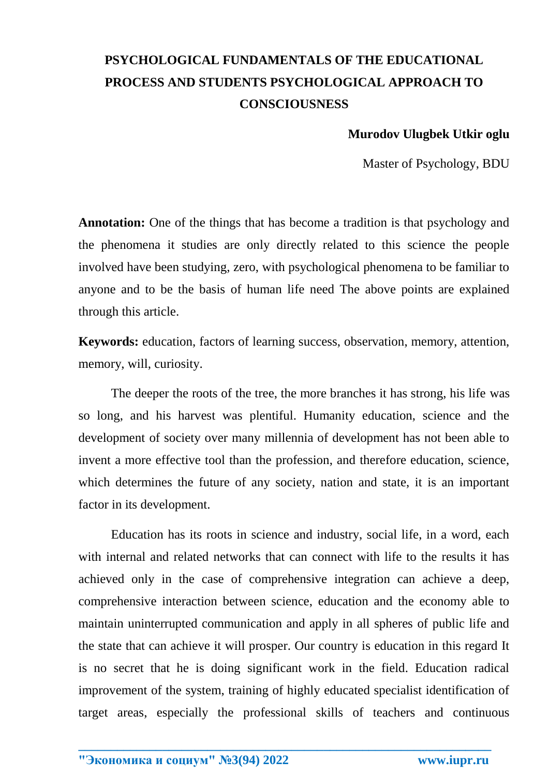## **PSYCHOLOGICAL FUNDAMENTALS OF THE EDUCATIONAL PROCESS AND STUDENTS PSYCHOLOGICAL APPROACH TO CONSCIOUSNESS**

## **Murodov Ulugbek Utkir oglu**

Master of Psychology, BDU

**Annotation:** One of the things that has become a tradition is that psychology and the phenomena it studies are only directly related to this science the people involved have been studying, zero, with psychological phenomena to be familiar to anyone and to be the basis of human life need The above points are explained through this article.

**Keywords:** education, factors of learning success, observation, memory, attention, memory, will, curiosity.

The deeper the roots of the tree, the more branches it has strong, his life was so long, and his harvest was plentiful. Humanity education, science and the development of society over many millennia of development has not been able to invent a more effective tool than the profession, and therefore education, science, which determines the future of any society, nation and state, it is an important factor in its development.

Education has its roots in science and industry, social life, in a word, each with internal and related networks that can connect with life to the results it has achieved only in the case of comprehensive integration can achieve a deep, comprehensive interaction between science, education and the economy able to maintain uninterrupted communication and apply in all spheres of public life and the state that can achieve it will prosper. Our country is education in this regard It is no secret that he is doing significant work in the field. Education radical improvement of the system, training of highly educated specialist identification of target areas, especially the professional skills of teachers and continuous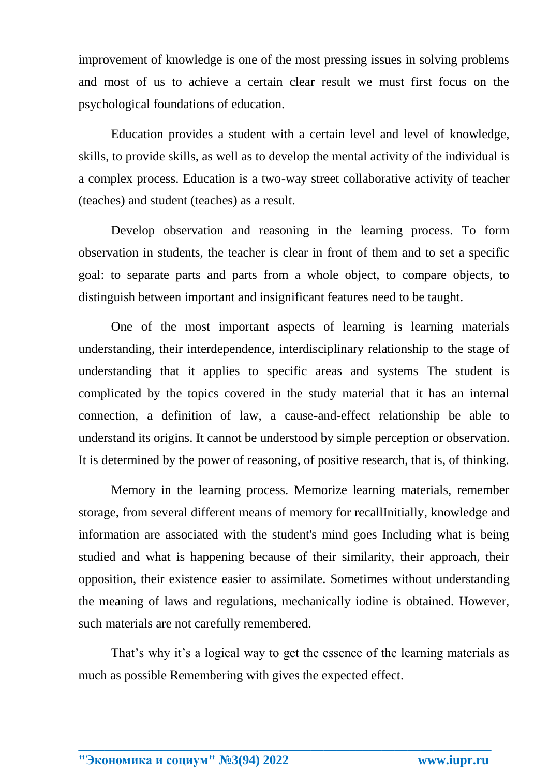improvement of knowledge is one of the most pressing issues in solving problems and most of us to achieve a certain clear result we must first focus on the psychological foundations of education.

Education provides a student with a certain level and level of knowledge, skills, to provide skills, as well as to develop the mental activity of the individual is a complex process. Education is a two-way street collaborative activity of teacher (teaches) and student (teaches) as a result.

Develop observation and reasoning in the learning process. To form observation in students, the teacher is clear in front of them and to set a specific goal: to separate parts and parts from a whole object, to compare objects, to distinguish between important and insignificant features need to be taught.

One of the most important aspects of learning is learning materials understanding, their interdependence, interdisciplinary relationship to the stage of understanding that it applies to specific areas and systems The student is complicated by the topics covered in the study material that it has an internal connection, a definition of law, a cause-and-effect relationship be able to understand its origins. It cannot be understood by simple perception or observation. It is determined by the power of reasoning, of positive research, that is, of thinking.

Memory in the learning process. Memorize learning materials, remember storage, from several different means of memory for recallInitially, knowledge and information are associated with the student's mind goes Including what is being studied and what is happening because of their similarity, their approach, their opposition, their existence easier to assimilate. Sometimes without understanding the meaning of laws and regulations, mechanically iodine is obtained. However, such materials are not carefully remembered.

That's why it's a logical way to get the essence of the learning materials as much as possible Remembering with gives the expected effect.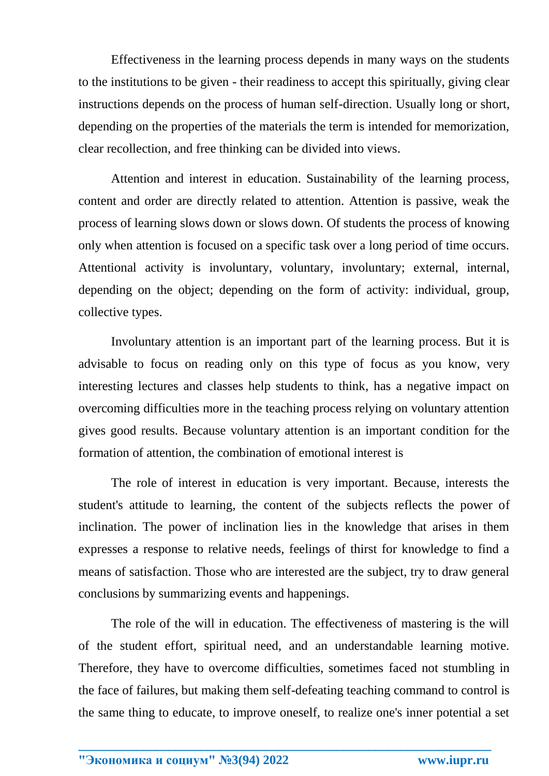Effectiveness in the learning process depends in many ways on the students to the institutions to be given - their readiness to accept this spiritually, giving clear instructions depends on the process of human self-direction. Usually long or short, depending on the properties of the materials the term is intended for memorization, clear recollection, and free thinking can be divided into views.

Attention and interest in education. Sustainability of the learning process, content and order are directly related to attention. Attention is passive, weak the process of learning slows down or slows down. Of students the process of knowing only when attention is focused on a specific task over a long period of time occurs. Attentional activity is involuntary, voluntary, involuntary; external, internal, depending on the object; depending on the form of activity: individual, group, collective types.

Involuntary attention is an important part of the learning process. But it is advisable to focus on reading only on this type of focus as you know, very interesting lectures and classes help students to think, has a negative impact on overcoming difficulties more in the teaching process relying on voluntary attention gives good results. Because voluntary attention is an important condition for the formation of attention, the combination of emotional interest is

The role of interest in education is very important. Because, interests the student's attitude to learning, the content of the subjects reflects the power of inclination. The power of inclination lies in the knowledge that arises in them expresses a response to relative needs, feelings of thirst for knowledge to find a means of satisfaction. Those who are interested are the subject, try to draw general conclusions by summarizing events and happenings.

The role of the will in education. The effectiveness of mastering is the will of the student effort, spiritual need, and an understandable learning motive. Therefore, they have to overcome difficulties, sometimes faced not stumbling in the face of failures, but making them self-defeating teaching command to control is the same thing to educate, to improve oneself, to realize one's inner potential a set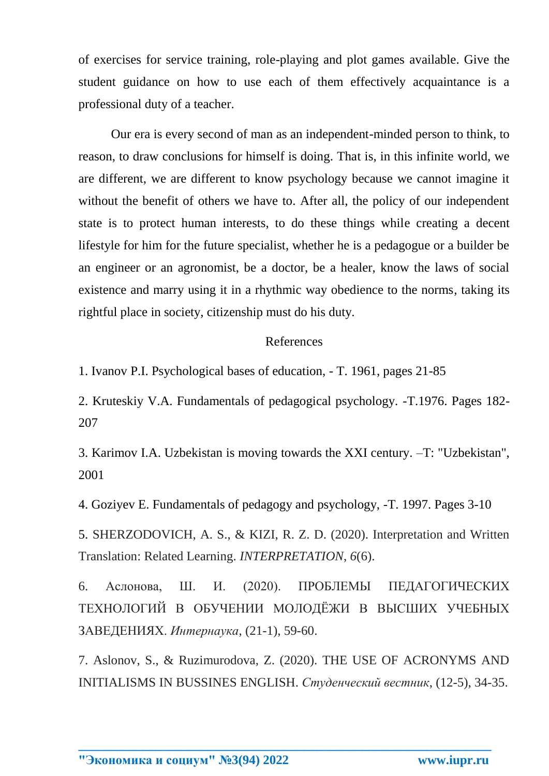of exercises for service training, role-playing and plot games available. Give the student guidance on how to use each of them effectively acquaintance is a professional duty of a teacher.

Our era is every second of man as an independent-minded person to think, to reason, to draw conclusions for himself is doing. That is, in this infinite world, we are different, we are different to know psychology because we cannot imagine it without the benefit of others we have to. After all, the policy of our independent state is to protect human interests, to do these things while creating a decent lifestyle for him for the future specialist, whether he is a pedagogue or a builder be an engineer or an agronomist, be a doctor, be a healer, know the laws of social existence and marry using it in a rhythmic way obedience to the norms, taking its rightful place in society, citizenship must do his duty.

## References

1. Ivanov P.I. Psychological bases of education, - T. 1961, pages 21-85

2. Kruteskiy V.A. Fundamentals of pedagogical psychology. -T.1976. Pages 182- 207

3. Karimov I.A. Uzbekistan is moving towards the XXI century. –T: "Uzbekistan", 2001

4. Goziyev E. Fundamentals of pedagogy and psychology, -T. 1997. Pages 3-10

5. SHERZODOVICH, A. S., & KIZI, R. Z. D. (2020). Interpretation and Written Translation: Related Learning. *INTERPRETATION*, *6*(6).

6. Аслонова, Ш. И. (2020). ПРОБЛЕМЫ ПЕДАГОГИЧЕСКИХ ТЕХНОЛОГИЙ В ОБУЧЕНИИ МОЛОДЁЖИ В ВЫСШИХ УЧЕБНЫХ ЗАВЕДЕНИЯХ. *Интернаука*, (21-1), 59-60.

7. Aslonov, S., & Ruzimurodova, Z. (2020). THE USE OF ACRONYMS AND INITIALISMS IN BUSSINES ENGLISH. *Студенческий вестник*, (12-5), 34-35.